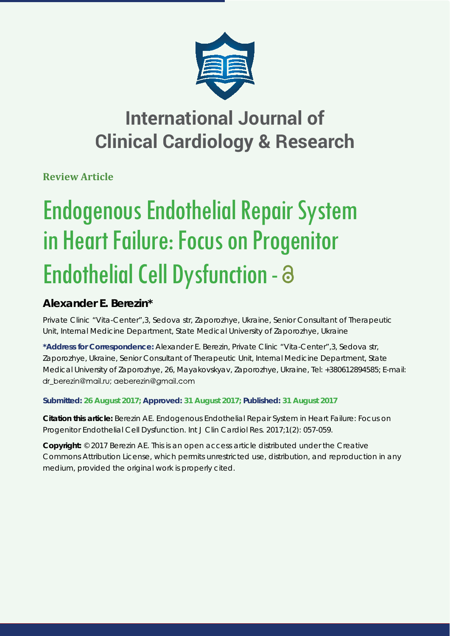

# **International Journal of Clinical Cardiology & Research**

**Review Article**

# Endogenous Endothelial Repair System in Heart Failure: Focus on Progenitor Endothelial Cell Dysfunction -

## **Alexander E. Berezin\***

*Private Clinic "Vita-Center",3, Sedova str, Zaporozhye, Ukraine, Senior Consultant of Therapeutic Unit, Internal Medicine Department, State Medical University of Zaporozhye, Ukraine*

**\*Address for Correspondence:** Alexander E. Berezin, Private Clinic "Vita-Center",3, Sedova str, Zaporozhye, Ukraine, Senior Consultant of Therapeutic Unit, Internal Medicine Department, State Medical University of Zaporozhye, 26, Mayakovskyav, Zaporozhye, Ukraine, Tel: +380612894585; E-mail: dr berezin@mail.ru; aeberezin@gmail.com

### **Submitted: 26 August 2017; Approved: 31 August 2017; Published: 31 August 2017**

**Citation this article:** Berezin AE. Endogenous Endothelial Repair System in Heart Failure: Focus on Progenitor Endothelial Cell Dysfunction. Int J Clin Cardiol Res. 2017;1(2): 057-059.

**Copyright:** © 2017 Berezin AE. This is an open access article distributed under the Creative Commons Attribution License, which permits unrestricted use, distribution, and reproduction in any medium, provided the original work is properly cited.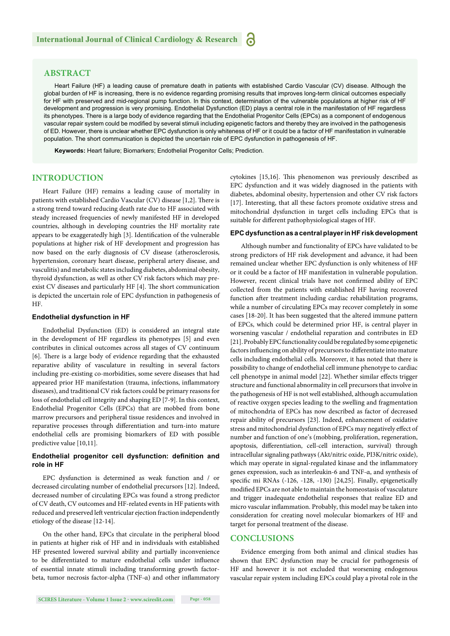#### **ABSTRACT**

Heart Failure (HF) a leading cause of premature death in patients with established Cardio Vascular (CV) disease. Although the global burden of HF is increasing, there is no evidence regarding promising results that improves long-term clinical outcomes especially for HF with preserved and mid-regional pump function. In this context, determination of the vulnerable populations at higher risk of HF development and progression is very promising. Endothelial Dysfunction (ED) plays a central role in the manifestation of HF regardless its phenotypes. There is a large body of evidence regarding that the Endothelial Progenitor Cells (EPCs) as a component of endogenous vascular repair system could be modified by several stimuli including epigenetic factors and thereby they are involved in the pathogenesis of ED. However, there is unclear whether EPC dysfunction is only whiteness of HF or it could be a factor of HF manifestation in vulnerable population. The short communication is depicted the uncertain role of EPC dysfunction in pathogenesis of HF.

**Keywords:** Heart failure; Biomarkers; Endothelial Progenitor Cells; Prediction.

#### **INTRODUCTION**

Heart Failure (HF) remains a leading cause of mortality in patients with established Cardio Vascular  $(CV)$  disease  $[1,2]$ . There is a strong trend toward reducing death rate due to HF associated with steady increased frequencies of newly manifested HF in developed countries, although in developing countries the HF mortality rate appears to be exaggeratedly high [3]. Identification of the vulnerable populations at higher risk of HF development and progression has now based on the early diagnosis of CV disease (atherosclerosis, hypertension, coronary heart disease, peripheral artery disease, and vasculitis) and metabolic states including diabetes, abdominal obesity, thyroid dysfunction, as well as other CV risk factors which may preexist CV diseases and particularly HF [4]. The short communication is depicted the uncertain role of EPC dysfunction in pathogenesis of HF.

#### **Endothelial dysfunction in HF**

Endothelial Dysfunction (ED) is considered an integral state in the development of HF regardless its phenotypes [5] and even contributes in clinical outcomes across all stages of CV continuum [6]. There is a large body of evidence regarding that the exhausted reparative ability of vasculature in resulting in several factors including pre-existing co-morbidities, some severe diseases that had appeared prior HF manifestation (trauma, infections, inflammatory diseases), and traditional CV risk factors could be primary reasons for loss of endothelial cell integrity and shaping ED [7-9]. In this context, Endothelial Progenitor Cells (EPCs) that are mobbed from bone marrow precursors and peripheral tissue residences and involved in reparative processes through differentiation and turn-into mature endothelial cells are promising biomarkers of ED with possible predictive value [10,11].

#### Endothelial progenitor cell dysfunction: definition and **role in HF**

EPC dysfunction is determined as weak function and / or decreased circulating number of endothelial precursors [12]. Indeed, decreased number of circulating EPCs was found a strong predictor of CV death, CV outcomes and HF-related events in HF patients with reduced and preserved left ventricular ejection fraction independently etiology of the disease [12-14].

On the other hand, EPCs that circulate in the peripheral blood in patients at higher risk of HF and in individuals with established HF presented lowered survival ability and partially inconvenience to be differentiated to mature endothelial cells under influence of essential innate stimuli including transforming growth factorbeta, tumor necrosis factor-alpha (TNF- $\alpha$ ) and other inflammatory cytokines [15,16]. This phenomenon was previously described as EPC dysfunction and it was widely diagnosed in the patients with diabetes, abdominal obesity, hypertension and other CV risk factors [17]. Interesting, that all these factors promote oxidative stress and mitochondrial dysfunction in target cells including EPCs that is suitable for different pathophysiological stages of HF.

#### **EPC dysfunction as a central player in HF risk development**

Although number and functionality of EPCs have validated to be strong predictors of HF risk development and advance, it had been remained unclear whether EPC dysfunction is only whiteness of HF or it could be a factor of HF manifestation in vulnerable population. However, recent clinical trials have not confirmed ability of EPC collected from the patients with established HF having recovered function after treatment including cardiac rehabilitation programs, while a number of circulating EPCs may recover completely in some cases [18-20]. It has been suggested that the altered immune pattern of EPCs, which could be determined prior HF, is central player in worsening vascular / endothelial reparation and contributes in ED [21]. Probably EPC functionality could be regulated by some epigenetic factors influencing on ability of precursors to differentiate into mature cells including endothelial cells. Moreover, it has noted that there is possibility to change of endothelial cell immune phenotype to cardiac cell phenotype in animal model [22]. Whether similar effects trigger structure and functional abnormality in cell precursors that involve in the pathogenesis of HF is not well established, although accumulation of reactive oxygen species leading to the swelling and fragmentation of mitochondria of EPCs has now described as factor of decreased repair ability of precursors [23]. Indeed, enhancement of oxidative stress and mitochondrial dysfunction of EPCs may negatively effect of number and function of one's (mobbing, proliferation, regeneration, apoptosis, differentiation, cell-cell interaction, survival) through intracellular signaling pathways (Akt/nitric oxide, PI3K/nitric oxide), which may operate in signal-regulated kinase and the inflammatory genes expression, such as interleukin-6 and TNF-α, and synthesis of specific mi RNAs (-126, -128, -130) [24,25]. Finally, epigenetically modified EPCs are not able to maintain the homeostasis of vasculature and trigger inadequate endothelial responses that realize ED and micro vascular inflammation. Probably, this model may be taken into consideration for creating novel molecular biomarkers of HF and target for personal treatment of the disease.

#### **CONCLUSIONS**

Evidence emerging from both animal and clinical studies has shown that EPC dysfunction may be crucial for pathogenesis of HF and however it is not excluded that worsening endogenous vascular repair system including EPCs could play a pivotal role in the